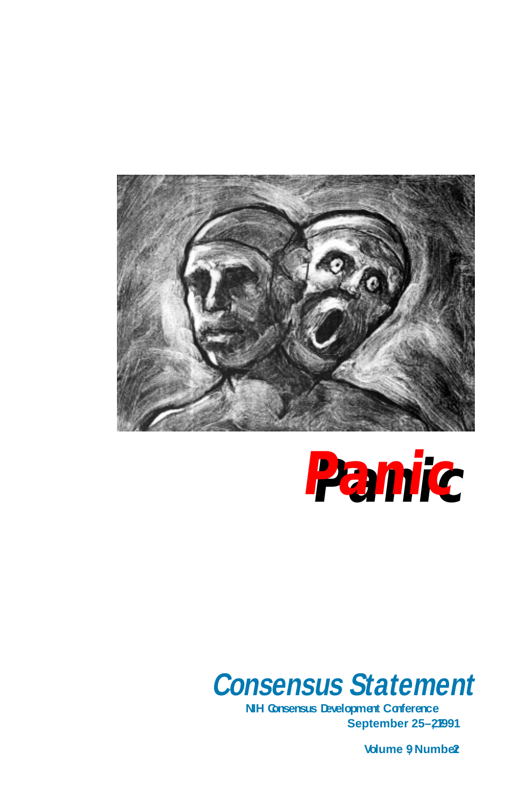





**NIH Consensus Development Conference September 25-27991** 

**Volume 9 Number2**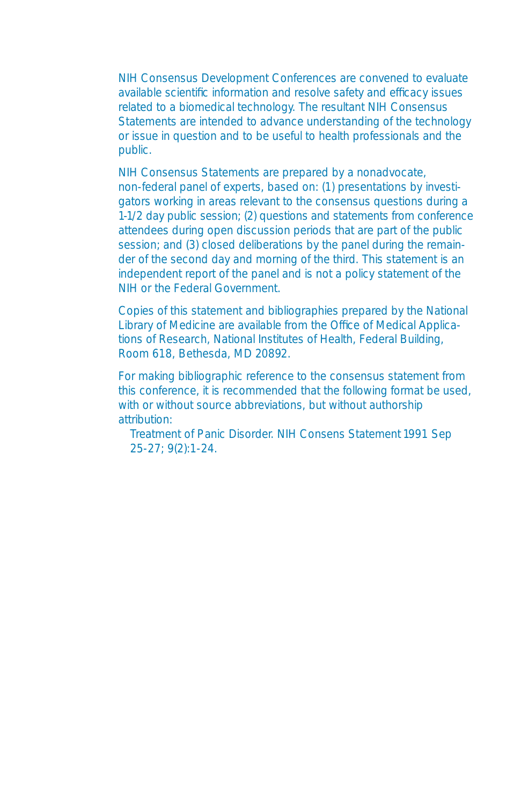*NIH Consensus Development Conferences are convened to evaluate available scientific information and resolve safety and efficacy issues related to a biomedical technology. The resultant NIH Consensus Statements are intended to advance understanding of the technology or issue in question and to be useful to health professionals and the public.* 

*NIH Consensus Statements are prepared by a nonadvocate, non-federal panel of experts, based on: (1) presentations by investigators working in areas relevant to the consensus questions during a 1-1/2 day public session; (2) questions and statements from conference attendees during open discussion periods that are part of the public session; and (3) closed deliberations by the panel during the remainder of the second day and morning of the third. This statement is an independent report of the panel and is not a policy statement of the NIH or the Federal Government.* 

*Copies of this statement and bibliographies prepared by the National Library of Medicine are available from the Office of Medical Applications of Research, National Institutes of Health, Federal Building, Room 618, Bethesda, MD 20892.* 

*For making bibliographic reference to the consensus statement from this conference, it is recommended that the following format be used, with or without source abbreviations, but without authorship attribution:* 

*Treatment of Panic Disorder. NIH Consens Statement 1991 Sep 25-27; 9(2):1-24.*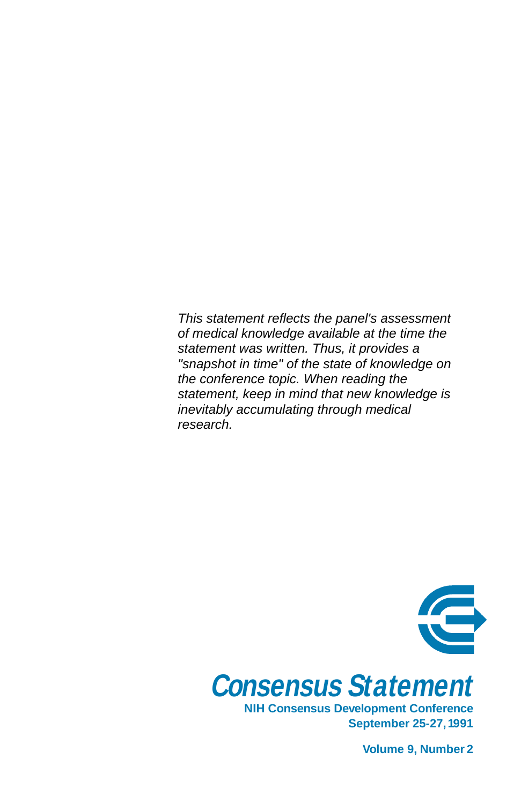This statement reflects the panel's assessment of medical knowledge available at the time the statement was written. Thus, it provides a "snapshot in time" of the state of knowledge on the conference topic. When reading the statement, keep in mind that new knowledge is inevitably accumulating through medical research.



**Volume 9, Number 2**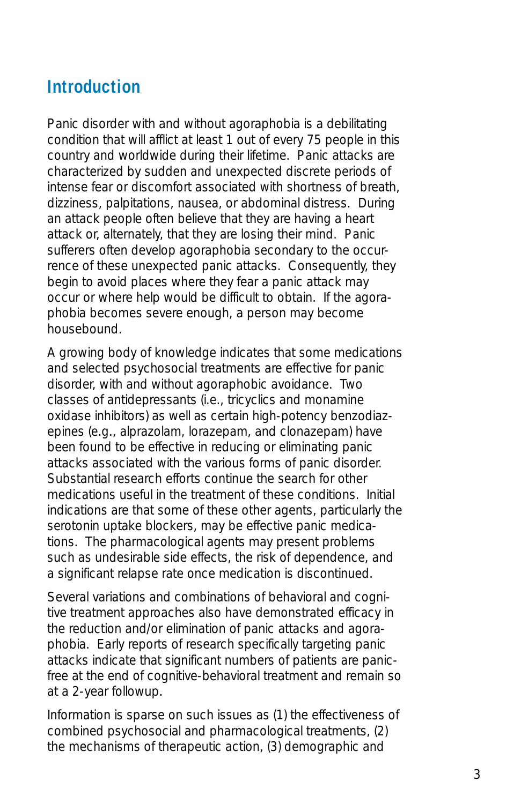# **Introduction**

Panic disorder with and without agoraphobia is a debilitating condition that will afflict at least 1 out of every 75 people in this country and worldwide during their lifetime. Panic attacks are characterized by sudden and unexpected discrete periods of intense fear or discomfort associated with shortness of breath, dizziness, palpitations, nausea, or abdominal distress. During an attack people often believe that they are having a heart attack or, alternately, that they are losing their mind. Panic sufferers often develop agoraphobia secondary to the occurrence of these unexpected panic attacks. Consequently, they begin to avoid places where they fear a panic attack may occur or where help would be difficult to obtain. If the agoraphobia becomes severe enough, a person may become housebound.

A growing body of knowledge indicates that some medications and selected psychosocial treatments are effective for panic disorder, with and without agoraphobic avoidance. Two classes of antidepressants (i.e., tricyclics and monamine oxidase inhibitors) as well as certain high-potency benzodiazepines (e.g., alprazolam, lorazepam, and clonazepam) have been found to be effective in reducing or eliminating panic attacks associated with the various forms of panic disorder. Substantial research efforts continue the search for other medications useful in the treatment of these conditions. Initial indications are that some of these other agents, particularly the serotonin uptake blockers, may be effective panic medications. The pharmacological agents may present problems such as undesirable side effects, the risk of dependence, and a significant relapse rate once medication is discontinued.

Several variations and combinations of behavioral and cognitive treatment approaches also have demonstrated efficacy in the reduction and/or elimination of panic attacks and agoraphobia. Early reports of research specifically targeting panic attacks indicate that significant numbers of patients are panicfree at the end of cognitive-behavioral treatment and remain so at a 2-year followup.

Information is sparse on such issues as (1) the effectiveness of combined psychosocial and pharmacological treatments, (2) the mechanisms of therapeutic action, (3) demographic and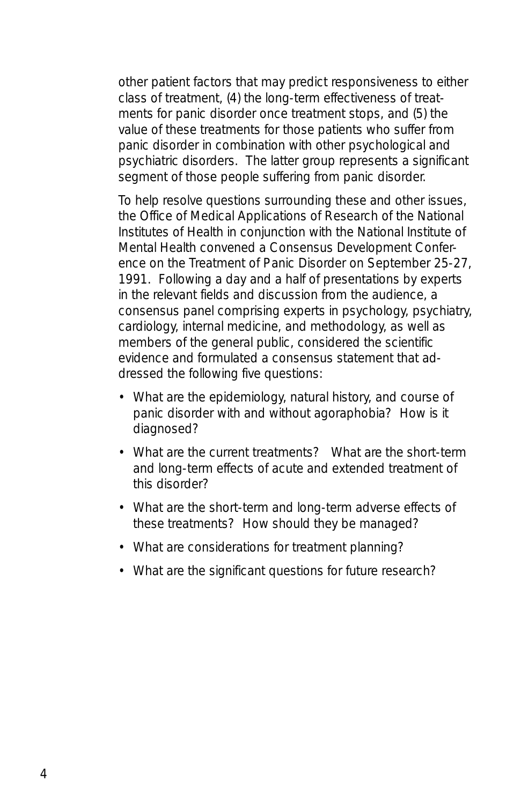other patient factors that may predict responsiveness to either class of treatment, (4) the long-term effectiveness of treatments for panic disorder once treatment stops, and (5) the value of these treatments for those patients who suffer from panic disorder in combination with other psychological and psychiatric disorders. The latter group represents a significant segment of those people suffering from panic disorder.

To help resolve questions surrounding these and other issues, the Office of Medical Applications of Research of the National Institutes of Health in conjunction with the National Institute of Mental Health convened a Consensus Development Conference on the Treatment of Panic Disorder on September 25-27, 1991. Following a day and a half of presentations by experts in the relevant fields and discussion from the audience, a consensus panel comprising experts in psychology, psychiatry, cardiology, internal medicine, and methodology, as well as members of the general public, considered the scientific evidence and formulated a consensus statement that addressed the following five questions:

- What are the epidemiology, natural history, and course of panic disorder with and without agoraphobia? How is it diagnosed?
- What are the current treatments? What are the short-term and long-term effects of acute and extended treatment of this disorder?
- What are the short-term and long-term adverse effects of these treatments? How should they be managed?
- What are considerations for treatment planning?
- What are the significant questions for future research?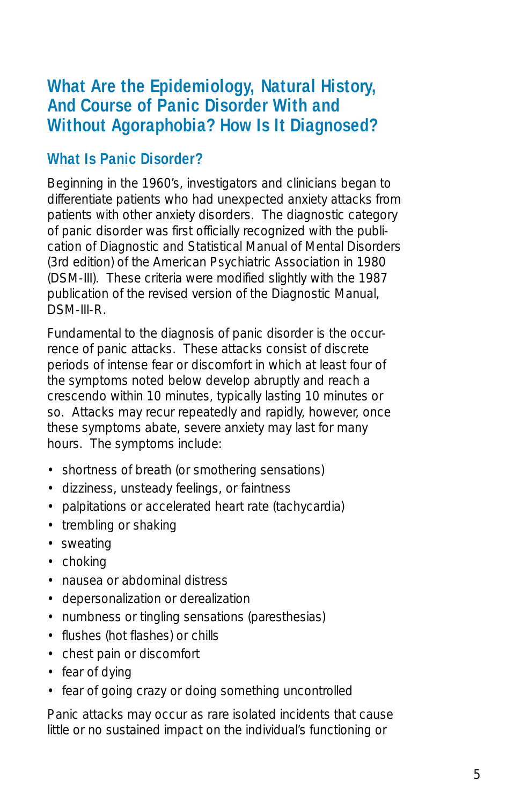# **What Are the Epidemiology, Natural History, And Course of Panic Disorder With and Without Agoraphobia? How Is It Diagnosed?**

## **What Is Panic Disorder?**

Beginning in the 1960's, investigators and clinicians began to differentiate patients who had unexpected anxiety attacks from patients with other anxiety disorders. The diagnostic category of panic disorder was first officially recognized with the publication of *Diagnostic and Statistical Manual of Mental Disorders*  (3rd edition) of the American Psychiatric Association in 1980 (DSM-III). These criteria were modified slightly with the 1987 publication of the revised version of the *Diagnostic Manual*, DSM-III-R.

Fundamental to the diagnosis of panic disorder is the occurrence of panic attacks. These attacks consist of discrete periods of intense fear or discomfort in which at least four of the symptoms noted below develop abruptly and reach a crescendo within 10 minutes, typically lasting 10 minutes or so. Attacks may recur repeatedly and rapidly, however, once these symptoms abate, severe anxiety may last for many hours. The symptoms include:

- shortness of breath (or smothering sensations)
- dizziness, unsteady feelings, or faintness
- palpitations or accelerated heart rate (tachycardia)
- trembling or shaking
- sweating
- choking
- nausea or abdominal distress
- depersonalization or derealization
- numbness or tingling sensations (paresthesias)
- flushes (hot flashes) or chills
- chest pain or discomfort
- fear of dying
- fear of going crazy or doing something uncontrolled

Panic attacks may occur as rare isolated incidents that cause little or no sustained impact on the individual's functioning or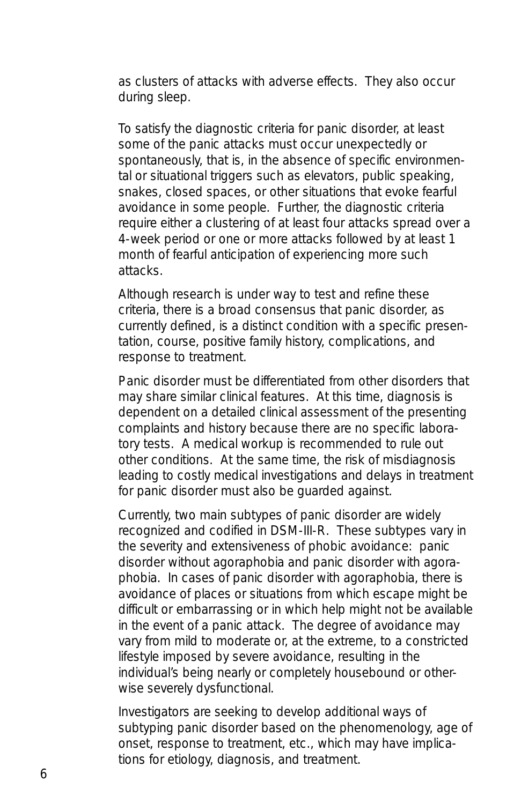as clusters of attacks with adverse effects. They also occur during sleep.

To satisfy the diagnostic criteria for panic disorder, at least some of the panic attacks must occur unexpectedly or spontaneously, that is, in the absence of specific environmental or situational triggers such as elevators, public speaking, snakes, closed spaces, or other situations that evoke fearful avoidance in some people. Further, the diagnostic criteria require either a clustering of at least four attacks spread over a 4-week period or one or more attacks followed by at least 1 month of fearful anticipation of experiencing more such attacks.

Although research is under way to test and refine these criteria, there is a broad consensus that panic disorder, as currently defined, is a distinct condition with a specific presentation, course, positive family history, complications, and response to treatment.

Panic disorder must be differentiated from other disorders that may share similar clinical features. At this time, diagnosis is dependent on a detailed clinical assessment of the presenting complaints and history because there are no specific laboratory tests. A medical workup is recommended to rule out other conditions. At the same time, the risk of misdiagnosis leading to costly medical investigations and delays in treatment for panic disorder must also be guarded against.

Currently, two main subtypes of panic disorder are widely recognized and codified in DSM-III-R. These subtypes vary in the severity and extensiveness of phobic avoidance: panic disorder without agoraphobia and panic disorder with agoraphobia. In cases of panic disorder with agoraphobia, there is avoidance of places or situations from which escape might be difficult or embarrassing or in which help might not be available in the event of a panic attack. The degree of avoidance may vary from mild to moderate or, at the extreme, to a constricted lifestyle imposed by severe avoidance, resulting in the individual's being nearly or completely housebound or otherwise severely dysfunctional.

Investigators are seeking to develop additional ways of subtyping panic disorder based on the phenomenology, age of onset, response to treatment, etc., which may have implications for etiology, diagnosis, and treatment.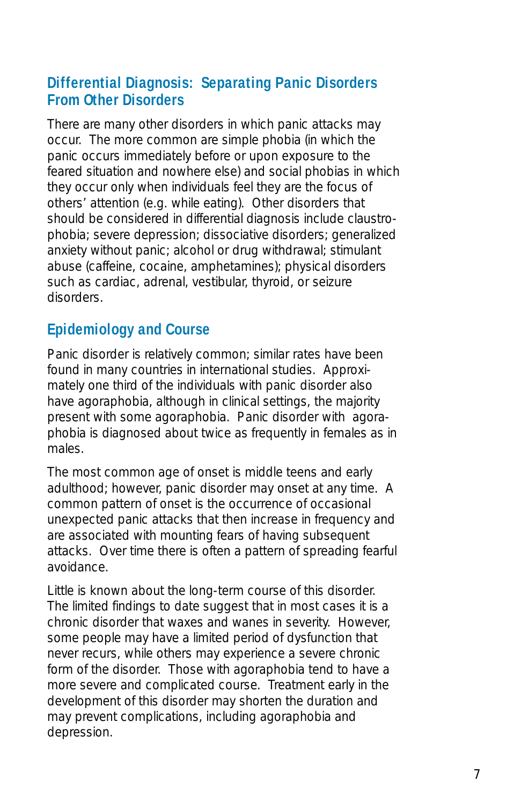## **Differential Diagnosis: Separating Panic Disorders From Other Disorders**

There are many other disorders in which panic attacks may occur. The more common are simple phobia (in which the panic occurs immediately before or upon exposure to the feared situation and nowhere else) and social phobias in which they occur only when individuals feel they are the focus of others' attention (e.g. while eating). Other disorders that should be considered in differential diagnosis include claustrophobia; severe depression; dissociative disorders; generalized anxiety without panic; alcohol or drug withdrawal; stimulant abuse (caffeine, cocaine, amphetamines); physical disorders such as cardiac, adrenal, vestibular, thyroid, or seizure disorders.

## **Epidemiology and Course**

Panic disorder is relatively common; similar rates have been found in many countries in international studies. Approximately one third of the individuals with panic disorder also have agoraphobia, although in clinical settings, the majority present with some agoraphobia. Panic disorder with agoraphobia is diagnosed about twice as frequently in females as in males.

The most common age of onset is middle teens and early adulthood; however, panic disorder may onset at any time. A common pattern of onset is the occurrence of occasional unexpected panic attacks that then increase in frequency and are associated with mounting fears of having subsequent attacks. Over time there is often a pattern of spreading fearful avoidance.

Little is known about the long-term course of this disorder. The limited findings to date suggest that in most cases it is a chronic disorder that waxes and wanes in severity. However, some people may have a limited period of dysfunction that never recurs, while others may experience a severe chronic form of the disorder. Those with agoraphobia tend to have a more severe and complicated course. Treatment early in the development of this disorder may shorten the duration and may prevent complications, including agoraphobia and depression.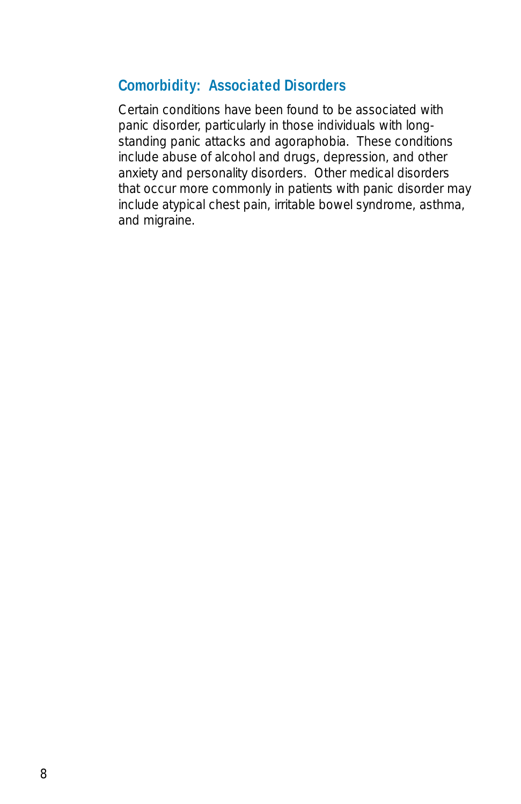## **Comorbidity: Associated Disorders**

Certain conditions have been found to be associated with panic disorder, particularly in those individuals with longstanding panic attacks and agoraphobia. These conditions include abuse of alcohol and drugs, depression, and other anxiety and personality disorders. Other medical disorders that occur more commonly in patients with panic disorder may include atypical chest pain, irritable bowel syndrome, asthma, and migraine.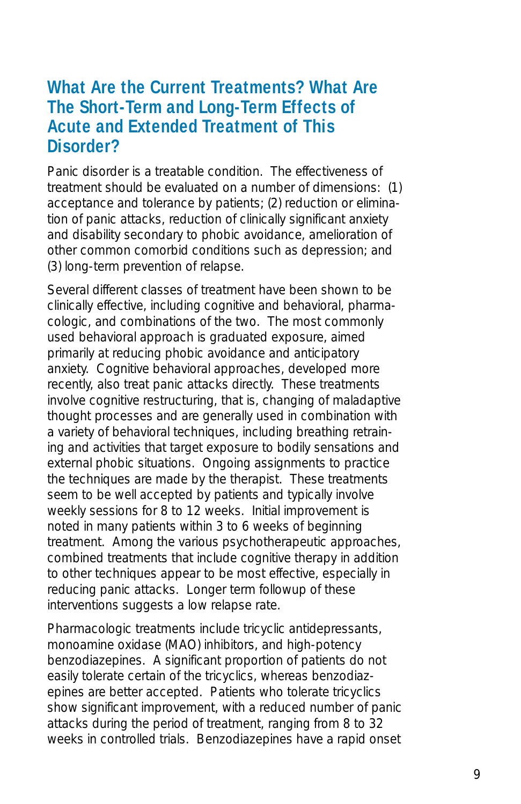# **What Are the Current Treatments? What Are The Short-Term and Long-Term Effects of Acute and Extended Treatment of This Disorder?**

Panic disorder is a treatable condition. The effectiveness of treatment should be evaluated on a number of dimensions: (1) acceptance and tolerance by patients; (2) reduction or elimination of panic attacks, reduction of clinically significant anxiety and disability secondary to phobic avoidance, amelioration of other common comorbid conditions such as depression; and (3) long-term prevention of relapse.

Several different classes of treatment have been shown to be clinically effective, including cognitive and behavioral, pharmacologic, and combinations of the two. The most commonly used behavioral approach is graduated exposure, aimed primarily at reducing phobic avoidance and anticipatory anxiety. Cognitive behavioral approaches, developed more recently, also treat panic attacks directly. These treatments involve cognitive restructuring, that is, changing of maladaptive thought processes and are generally used in combination with a variety of behavioral techniques, including breathing retraining and activities that target exposure to bodily sensations and external phobic situations. Ongoing assignments to practice the techniques are made by the therapist. These treatments seem to be well accepted by patients and typically involve weekly sessions for 8 to 12 weeks. Initial improvement is noted in many patients within 3 to 6 weeks of beginning treatment. Among the various psychotherapeutic approaches, combined treatments that include cognitive therapy in addition to other techniques appear to be most effective, especially in reducing panic attacks. Longer term followup of these interventions suggests a low relapse rate.

Pharmacologic treatments include tricyclic antidepressants, monoamine oxidase (MAO) inhibitors, and high-potency benzodiazepines. A significant proportion of patients do not easily tolerate certain of the tricyclics, whereas benzodiazepines are better accepted. Patients who tolerate tricyclics show significant improvement, with a reduced number of panic attacks during the period of treatment, ranging from 8 to 32 weeks in controlled trials. Benzodiazepines have a rapid onset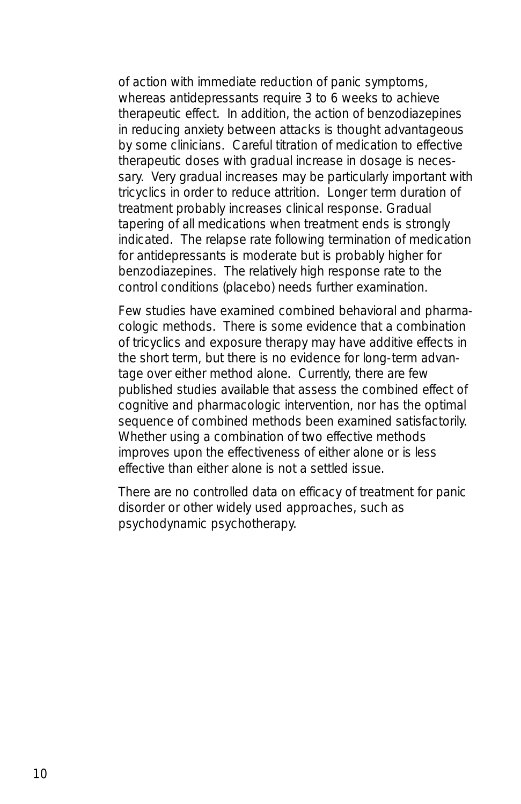of action with immediate reduction of panic symptoms, whereas antidepressants require 3 to 6 weeks to achieve therapeutic effect. In addition, the action of benzodiazepines in reducing anxiety between attacks is thought advantageous by some clinicians. Careful titration of medication to effective therapeutic doses with gradual increase in dosage is necessary. Very gradual increases may be particularly important with tricyclics in order to reduce attrition. Longer term duration of treatment probably increases clinical response. Gradual tapering of all medications when treatment ends is strongly indicated. The relapse rate following termination of medication for antidepressants is moderate but is probably higher for benzodiazepines. The relatively high response rate to the control conditions (placebo) needs further examination.

Few studies have examined combined behavioral and pharmacologic methods. There is some evidence that a combination of tricyclics and exposure therapy may have additive effects in the short term, but there is no evidence for long-term advantage over either method alone. Currently, there are few published studies available that assess the combined effect of cognitive and pharmacologic intervention, nor has the optimal sequence of combined methods been examined satisfactorily. Whether using a combination of two effective methods improves upon the effectiveness of either alone or is less effective than either alone is not a settled issue.

There are no controlled data on efficacy of treatment for panic disorder or other widely used approaches, such as psychodynamic psychotherapy.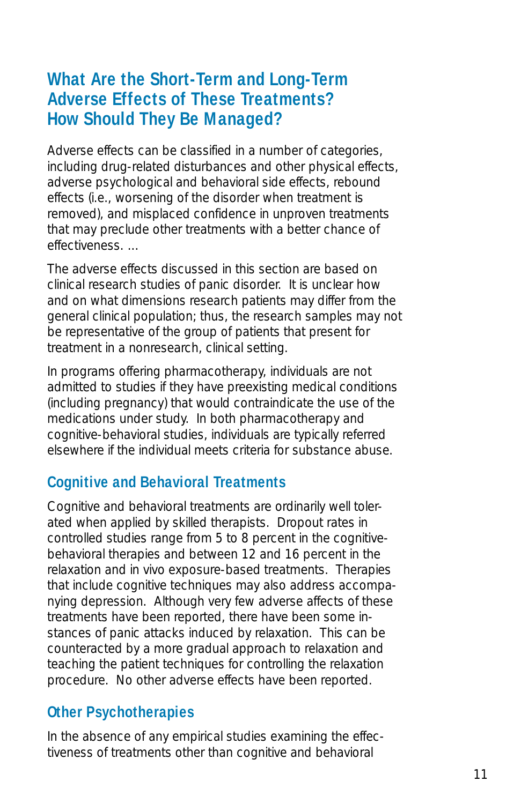# **What Are the Short-Term and Long-Term Adverse Effects of These Treatments? How Should They Be Managed?**

Adverse effects can be classified in a number of categories, including drug-related disturbances and other physical effects, adverse psychological and behavioral side effects, rebound effects (i.e., worsening of the disorder when treatment is removed), and misplaced confidence in unproven treatments that may preclude other treatments with a better chance of effectiveness. ...

The adverse effects discussed in this section are based on clinical research studies of panic disorder. It is unclear how and on what dimensions research patients may differ from the general clinical population; thus, the research samples may not be representative of the group of patients that present for treatment in a nonresearch, clinical setting.

In programs offering pharmacotherapy, individuals are not admitted to studies if they have preexisting medical conditions (including pregnancy) that would contraindicate the use of the medications under study. In both pharmacotherapy and cognitive-behavioral studies, individuals are typically referred elsewhere if the individual meets criteria for substance abuse.

# **Cognitive and Behavioral Treatments**

Cognitive and behavioral treatments are ordinarily well tolerated when applied by skilled therapists. Dropout rates in controlled studies range from 5 to 8 percent in the cognitivebehavioral therapies and between 12 and 16 percent in the relaxation and *in vivo* exposure-based treatments. Therapies that include cognitive techniques may also address accompanying depression. Although very few adverse affects of these treatments have been reported, there have been some instances of panic attacks induced by relaxation. This can be counteracted by a more gradual approach to relaxation and teaching the patient techniques for controlling the relaxation procedure. No other adverse effects have been reported.

## **Other Psychotherapies**

In the absence of any empirical studies examining the effectiveness of treatments other than cognitive and behavioral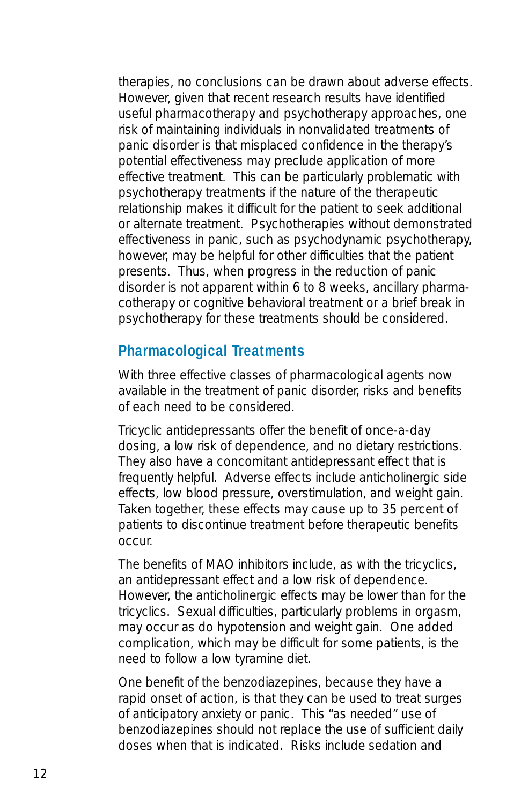therapies, no conclusions can be drawn about adverse effects. However, given that recent research results have identified useful pharmacotherapy and psychotherapy approaches, one risk of maintaining individuals in nonvalidated treatments of panic disorder is that misplaced confidence in the therapy's potential effectiveness may preclude application of more effective treatment. This can be particularly problematic with psychotherapy treatments if the nature of the therapeutic relationship makes it difficult for the patient to seek additional or alternate treatment. Psychotherapies without demonstrated effectiveness in panic, such as psychodynamic psychotherapy, however, may be helpful for other difficulties that the patient presents. Thus, when progress in the reduction of panic disorder is not apparent within 6 to 8 weeks, ancillary pharmacotherapy or cognitive behavioral treatment or a brief break in psychotherapy for these treatments should be considered.

## **Pharmacological Treatments**

With three effective classes of pharmacological agents now available in the treatment of panic disorder, risks and benefits of each need to be considered.

Tricyclic antidepressants offer the benefit of once-a-day dosing, a low risk of dependence, and no dietary restrictions. They also have a concomitant antidepressant effect that is frequently helpful. Adverse effects include anticholinergic side effects, low blood pressure, overstimulation, and weight gain. Taken together, these effects may cause up to 35 percent of patients to discontinue treatment before therapeutic benefits occur.

The benefits of MAO inhibitors include, as with the tricyclics, an antidepressant effect and a low risk of dependence. However, the anticholinergic effects may be lower than for the tricyclics. Sexual difficulties, particularly problems in orgasm, may occur as do hypotension and weight gain. One added complication, which may be difficult for some patients, is the need to follow a low tyramine diet.

One benefit of the benzodiazepines, because they have a rapid onset of action, is that they can be used to treat surges of anticipatory anxiety or panic. This "as needed" use of benzodiazepines should not replace the use of sufficient daily doses when that is indicated. Risks include sedation and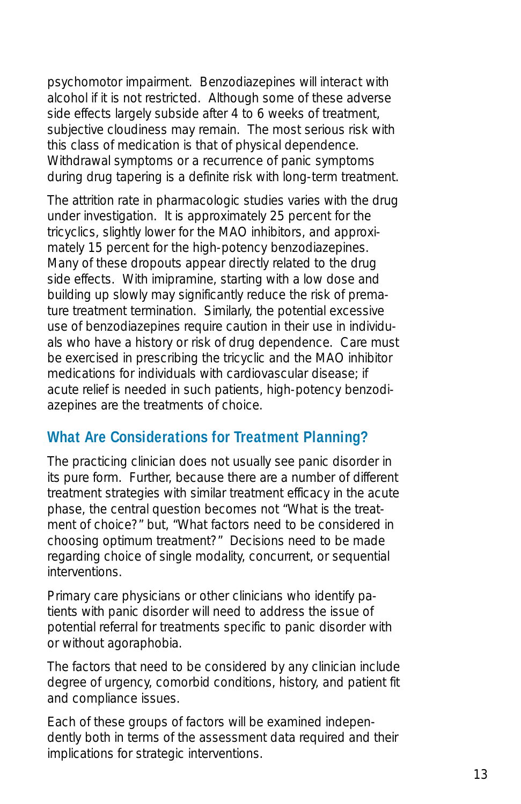psychomotor impairment. Benzodiazepines will interact with alcohol if it is not restricted. Although some of these adverse side effects largely subside after 4 to 6 weeks of treatment, subjective cloudiness may remain. The most serious risk with this class of medication is that of physical dependence. Withdrawal symptoms or a recurrence of panic symptoms during drug tapering is a definite risk with long-term treatment.

The attrition rate in pharmacologic studies varies with the drug under investigation. It is approximately 25 percent for the tricyclics, slightly lower for the MAO inhibitors, and approximately 15 percent for the high-potency benzodiazepines. Many of these dropouts appear directly related to the drug side effects. With imipramine, starting with a low dose and building up slowly may significantly reduce the risk of premature treatment termination. Similarly, the potential excessive use of benzodiazepines require caution in their use in individuals who have a history or risk of drug dependence. Care must be exercised in prescribing the tricyclic and the MAO inhibitor medications for individuals with cardiovascular disease; if acute relief is needed in such patients, high-potency benzodiazepines are the treatments of choice.

## **What Are Considerations for Treatment Planning?**

The practicing clinician does not usually see panic disorder in its pure form. Further, because there are a number of different treatment strategies with similar treatment efficacy in the acute phase, the central question becomes not "What is the treatment of choice?" but, "What factors need to be considered in choosing optimum treatment?" Decisions need to be made regarding choice of single modality, concurrent, or sequential interventions.

Primary care physicians or other clinicians who identify patients with panic disorder will need to address the issue of potential referral for treatments specific to panic disorder with or without agoraphobia.

The factors that need to be considered by any clinician include degree of urgency, comorbid conditions, history, and patient fit and compliance issues.

Each of these groups of factors will be examined independently both in terms of the assessment data required and their implications for strategic interventions.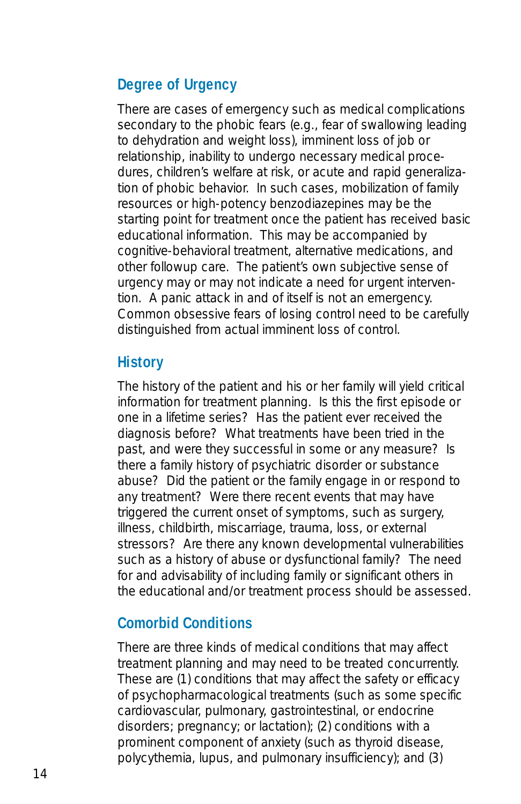## **Degree of Urgency**

There are cases of emergency such as medical complications secondary to the phobic fears (e.g., fear of swallowing leading to dehydration and weight loss), imminent loss of job or relationship, inability to undergo necessary medical procedures, children's welfare at risk, or acute and rapid generalization of phobic behavior. In such cases, mobilization of family resources or high-potency benzodiazepines may be the starting point for treatment once the patient has received basic educational information. This may be accompanied by cognitive-behavioral treatment, alternative medications, and other followup care. The patient's own subjective sense of urgency may or may not indicate a need for urgent intervention. A panic attack in and of itself is not an emergency. Common obsessive fears of losing control need to be carefully distinguished from actual imminent loss of control.

## **History**

The history of the patient and his or her family will yield critical information for treatment planning. Is this the first episode or one in a lifetime series? Has the patient ever received the diagnosis before? What treatments have been tried in the past, and were they successful in some or any measure? Is there a family history of psychiatric disorder or substance abuse? Did the patient or the family engage in or respond to any treatment? Were there recent events that may have triggered the current onset of symptoms, such as surgery, illness, childbirth, miscarriage, trauma, loss, or external stressors? Are there any known developmental vulnerabilities such as a history of abuse or dysfunctional family? The need for and advisability of including family or significant others in the educational and/or treatment process should be assessed.

## **Comorbid Conditions**

There are three kinds of medical conditions that may affect treatment planning and may need to be treated concurrently. These are (1) conditions that may affect the safety or efficacy of psychopharmacological treatments (such as some specific cardiovascular, pulmonary, gastrointestinal, or endocrine disorders; pregnancy; or lactation); (2) conditions with a prominent component of anxiety (such as thyroid disease, polycythemia, lupus, and pulmonary insufficiency); and (3)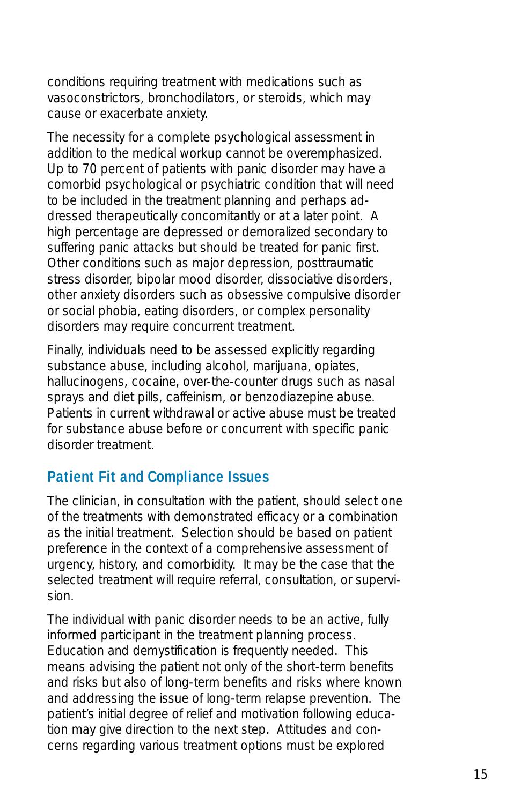conditions requiring treatment with medications such as vasoconstrictors, bronchodilators, or steroids, which may cause or exacerbate anxiety.

The necessity for a complete psychological assessment in addition to the medical workup cannot be overemphasized. Up to 70 percent of patients with panic disorder may have a comorbid psychological or psychiatric condition that will need to be included in the treatment planning and perhaps addressed therapeutically concomitantly or at a later point. A high percentage are depressed or demoralized secondary to suffering panic attacks but should be treated for panic first. Other conditions such as major depression, posttraumatic stress disorder, bipolar mood disorder, dissociative disorders, other anxiety disorders such as obsessive compulsive disorder or social phobia, eating disorders, or complex personality disorders may require concurrent treatment.

Finally, individuals need to be assessed explicitly regarding substance abuse, including alcohol, marijuana, opiates, hallucinogens, cocaine, over-the-counter drugs such as nasal sprays and diet pills, caffeinism, or benzodiazepine abuse. Patients in current withdrawal or active abuse must be treated for substance abuse before or concurrent with specific panic disorder treatment.

## **Patient Fit and Compliance Issues**

The clinician, in consultation with the patient, should select one of the treatments with demonstrated efficacy or a combination as the initial treatment. Selection should be based on patient preference in the context of a comprehensive assessment of urgency, history, and comorbidity. It may be the case that the selected treatment will require referral, consultation, or supervision.

The individual with panic disorder needs to be an active, fully informed participant in the treatment planning process. Education and demystification is frequently needed. This means advising the patient not only of the short-term benefits and risks but also of long-term benefits and risks where known and addressing the issue of long-term relapse prevention. The patient's initial degree of relief and motivation following education may give direction to the next step. Attitudes and concerns regarding various treatment options must be explored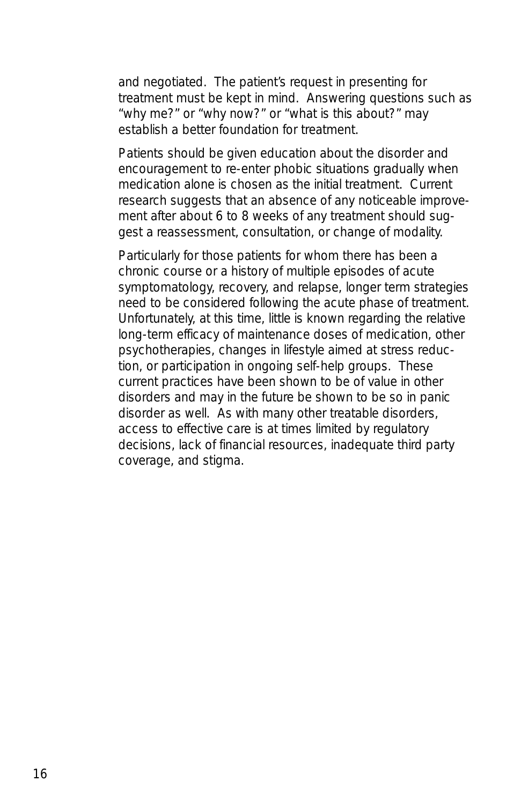and negotiated. The patient's request in presenting for treatment must be kept in mind. Answering questions such as "why me?" or "why now?" or "what is this about?" may establish a better foundation for treatment.

Patients should be given education about the disorder and encouragement to re-enter phobic situations gradually when medication alone is chosen as the initial treatment. Current research suggests that an absence of any noticeable improvement after about 6 to 8 weeks of *any* treatment should suggest a reassessment, consultation, or change of modality.

Particularly for those patients for whom there has been a chronic course or a history of multiple episodes of acute symptomatology, recovery, and relapse, longer term strategies need to be considered following the acute phase of treatment. Unfortunately, at this time, little is known regarding the relative long-term efficacy of maintenance doses of medication, other psychotherapies, changes in lifestyle aimed at stress reduction, or participation in ongoing self-help groups. These current practices have been shown to be of value in other disorders and may in the future be shown to be so in panic disorder as well. As with many other treatable disorders, access to effective care is at times limited by regulatory decisions, lack of financial resources, inadequate third party coverage, and stigma.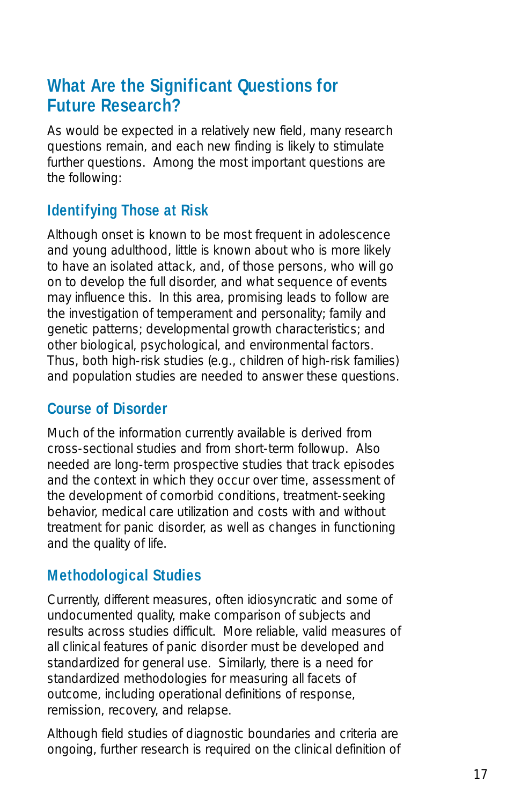# **What Are the Significant Questions for Future Research?**

As would be expected in a relatively new field, many research questions remain, and each new finding is likely to stimulate further questions. Among the most important questions are the following:

# **Identifying Those at Risk**

Although onset is known to be most frequent in adolescence and young adulthood, little is known about who is more likely to have an isolated attack, and, of those persons, who will go on to develop the full disorder, and what sequence of events may influence this. In this area, promising leads to follow are the investigation of temperament and personality; family and genetic patterns; developmental growth characteristics; and other biological, psychological, and environmental factors. Thus, both high-risk studies (e.g., children of high-risk families) and population studies are needed to answer these questions.

## **Course of Disorder**

Much of the information currently available is derived from cross-sectional studies and from short-term followup. Also needed are long-term prospective studies that track episodes and the context in which they occur over time, assessment of the development of comorbid conditions, treatment-seeking behavior, medical care utilization and costs with and without treatment for panic disorder, as well as changes in functioning and the quality of life.

# **Methodological Studies**

Currently, different measures, often idiosyncratic and some of undocumented quality, make comparison of subjects and results across studies difficult. More reliable, valid measures of all clinical features of panic disorder must be developed and standardized for general use. Similarly, there is a need for standardized methodologies for measuring all facets of outcome, including operational definitions of response, remission, recovery, and relapse.

Although field studies of diagnostic boundaries and criteria are ongoing, further research is required on the clinical definition of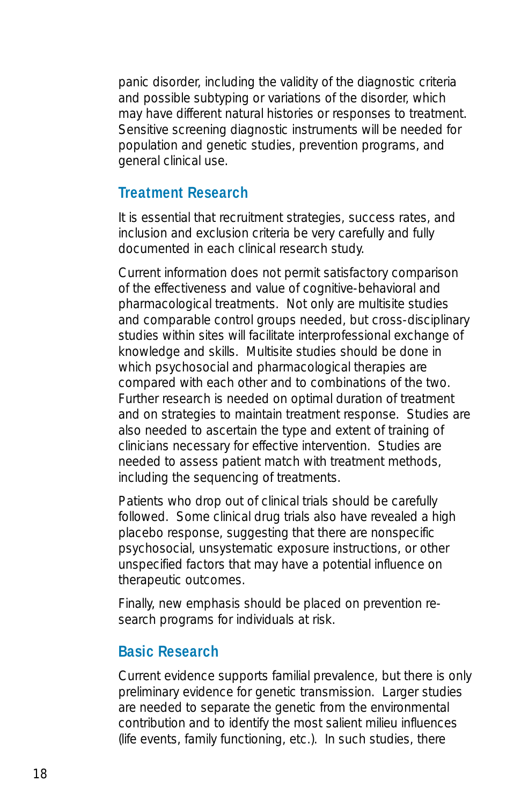panic disorder, including the validity of the diagnostic criteria and possible subtyping or variations of the disorder, which may have different natural histories or responses to treatment. Sensitive screening diagnostic instruments will be needed for population and genetic studies, prevention programs, and general clinical use.

## **Treatment Research**

It is essential that recruitment strategies, success rates, and inclusion and exclusion criteria be very carefully and fully documented in each clinical research study.

Current information does not permit satisfactory comparison of the effectiveness and value of cognitive-behavioral and pharmacological treatments. Not only are multisite studies and comparable control groups needed, but cross-disciplinary studies within sites will facilitate interprofessional exchange of knowledge and skills. Multisite studies should be done in which psychosocial and pharmacological therapies are compared with each other and to combinations of the two. Further research is needed on optimal duration of treatment and on strategies to maintain treatment response. Studies are also needed to ascertain the type and extent of training of clinicians necessary for effective intervention. Studies are needed to assess patient match with treatment methods, including the sequencing of treatments.

Patients who drop out of clinical trials should be carefully followed. Some clinical drug trials also have revealed a high placebo response, suggesting that there are nonspecific psychosocial, unsystematic exposure instructions, or other unspecified factors that may have a potential influence on therapeutic outcomes.

Finally, new emphasis should be placed on prevention research programs for individuals at risk.

## **Basic Research**

Current evidence supports familial prevalence, but there is only preliminary evidence for genetic transmission. Larger studies are needed to separate the genetic from the environmental contribution and to identify the most salient milieu influences (life events, family functioning, etc.). In such studies, there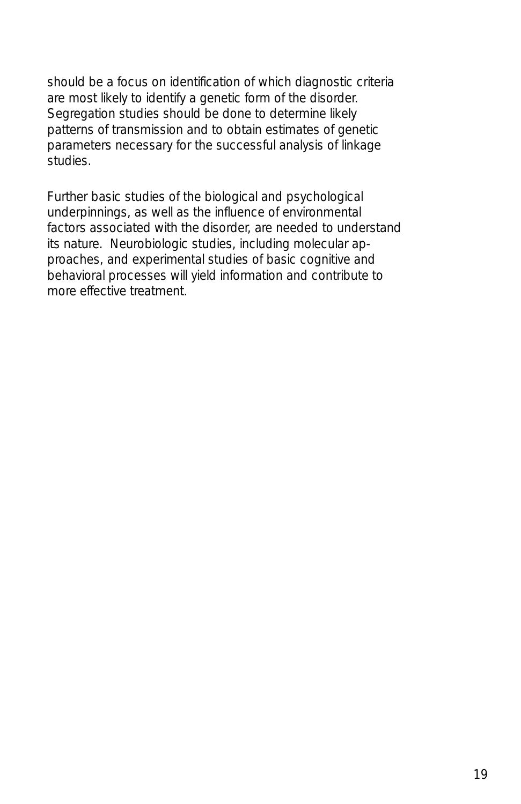should be a focus on identification of which diagnostic criteria are most likely to identify a genetic form of the disorder. Segregation studies should be done to determine likely patterns of transmission and to obtain estimates of genetic parameters necessary for the successful analysis of linkage studies.

Further basic studies of the biological and psychological underpinnings, as well as the influence of environmental factors associated with the disorder, are needed to understand its nature. Neurobiologic studies, including molecular approaches, and experimental studies of basic cognitive and behavioral processes will yield information and contribute to more effective treatment.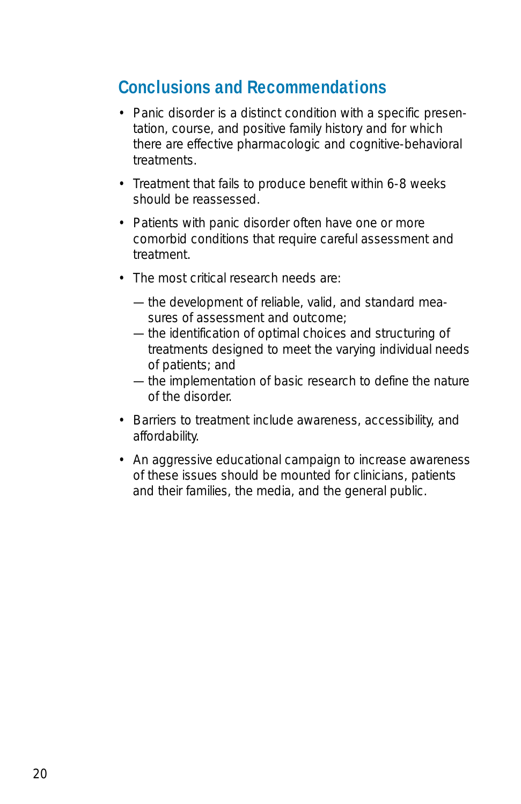# **Conclusions and Recommendations**

- Panic disorder is a distinct condition with a specific presentation, course, and positive family history and for which there are effective pharmacologic and cognitive-behavioral treatments.
- Treatment that fails to produce benefit within 6-8 weeks should be reassessed.
- Patients with panic disorder often have one or more comorbid conditions that require careful assessment and treatment.
- The most critical research needs are:
	- —the development of reliable, valid, and standard measures of assessment and outcome;
	- —the identification of optimal choices and structuring of treatments designed to meet the varying individual needs of patients; and
	- —the implementation of basic research to define the nature of the disorder.
- Barriers to treatment include awareness, accessibility, and affordability.
- An aggressive educational campaign to increase awareness of these issues should be mounted for clinicians, patients and their families, the media, and the general public.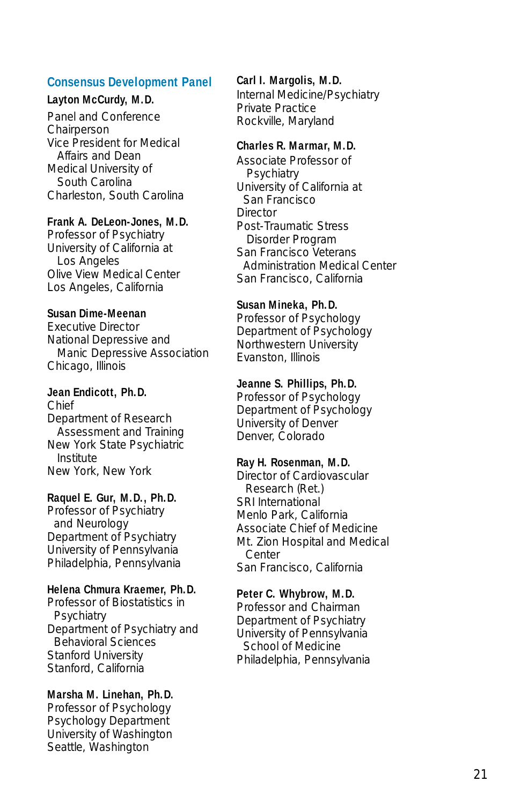## **Consensus Development Panel**

### **Layton McCurdy, M.D.**

Panel and Conference Chairperson Vice President for Medical Affairs and Dean Medical University of South Carolina Charleston, South Carolina

### **Frank A. DeLeon-Jones, M.D.**

Professor of Psychiatry University of California at Los Angeles Olive View Medical Center Los Angeles, California

### **Susan Dime-Meenan**

Executive Director National Depressive and Manic Depressive Association Chicago, Illinois

**Jean Endicott, Ph.D.**  Chief Department of Research Assessment and Training New York State Psychiatric Institute New York, New York

### **Raquel E. Gur, M.D., Ph.D.**

Professor of Psychiatry and Neurology Department of Psychiatry University of Pennsylvania Philadelphia, Pennsylvania

### **Helena Chmura Kraemer, Ph.D.**

Professor of Biostatistics in **Psychiatry** Department of Psychiatry and Behavioral Sciences Stanford University Stanford, California

## **Marsha M. Linehan, Ph.D.**

Professor of Psychology Psychology Department University of Washington Seattle, Washington

#### **Carl I. Margolis, M.D.**

Internal Medicine/Psychiatry Private Practice Rockville, Maryland

#### **Charles R. Marmar, M.D.**

Associate Professor of **Psychiatry** University of California at San Francisco **Director** Post-Traumatic Stress Disorder Program San Francisco Veterans Administration Medical Center San Francisco, California

#### **Susan Mineka, Ph.D.**

Professor of Psychology Department of Psychology Northwestern University Evanston, Illinois

### **Jeanne S. Phillips, Ph.D.**

Professor of Psychology Department of Psychology University of Denver Denver, Colorado

#### **Ray H. Rosenman, M.D.**

Director of Cardiovascular Research (Ret.) SRI International Menlo Park, California Associate Chief of Medicine Mt. Zion Hospital and Medical Center San Francisco, California

### **Peter C. Whybrow, M.D.**

Professor and Chairman Department of Psychiatry University of Pennsylvania School of Medicine Philadelphia, Pennsylvania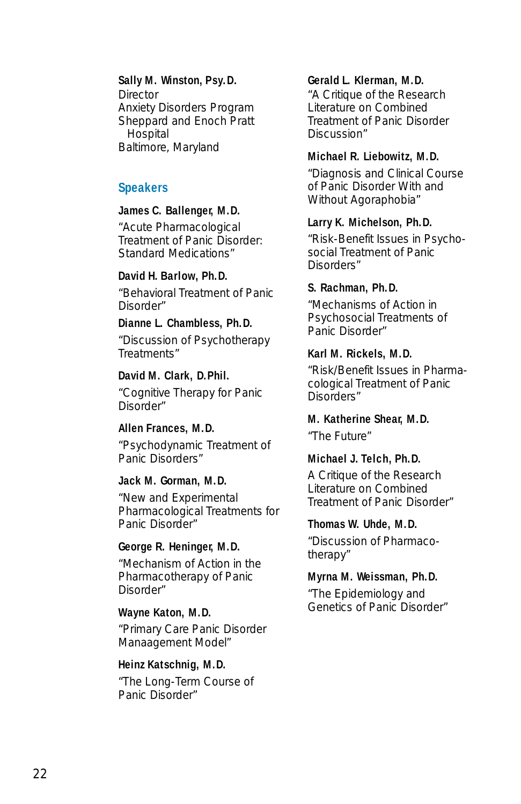### **Sally M. Winston, Psy.D.**

**Director** Anxiety Disorders Program Sheppard and Enoch Pratt **Hospital** Baltimore, Maryland

## **Speakers**

### **James C. Ballenger, M.D.**

"Acute Pharmacological Treatment of Panic Disorder: Standard Medications"

### **David H. Barlow, Ph.D.**

"Behavioral Treatment of Panic Disorder"

### **Dianne L. Chambless, Ph.D.**

"Discussion of Psychotherapy Treatments"

#### **David M. Clark, D.Phil.**  "Cognitive Therapy for Panic Disorder"

**Allen Frances, M.D.**  "Psychodynamic Treatment of Panic Disorders"

## **Jack M. Gorman, M.D.**

"New and Experimental Pharmacological Treatments for Panic Disorder"

### **George R. Heninger, M.D.**

"Mechanism of Action in the Pharmacotherapy of Panic Disorder"

### **Wayne Katon, M.D.**

"Primary Care Panic Disorder Manaagement Model"

### **Heinz Katschnig, M.D.**

"The Long-Term Course of Panic Disorder"

### **Gerald L. Klerman, M.D.**

"A Critique of the Research Literature on Combined Treatment of Panic Disorder Discussion"

### **Michael R. Liebowitz, M.D.**

"Diagnosis and Clinical Course of Panic Disorder With and Without Agoraphobia"

### **Larry K. Michelson, Ph.D.**

"Risk-Benefit Issues in Psychosocial Treatment of Panic Disorders"

### **S. Rachman, Ph.D.**

"Mechanisms of Action in Psychosocial Treatments of Panic Disorder"

### **Karl M. Rickels, M.D.**

"Risk/Benefit Issues in Pharmacological Treatment of Panic Disorders"

### **M. Katherine Shear, M.D.**

"The Future"

## **Michael J. Telch, Ph.D.**

A Critique of the Research Literature on Combined Treatment of Panic Disorder"

### **Thomas W. Uhde, M.D.**

"Discussion of Pharmacotherapy"

### **Myrna M. Weissman, Ph.D.**

"The Epidemiology and Genetics of Panic Disorder"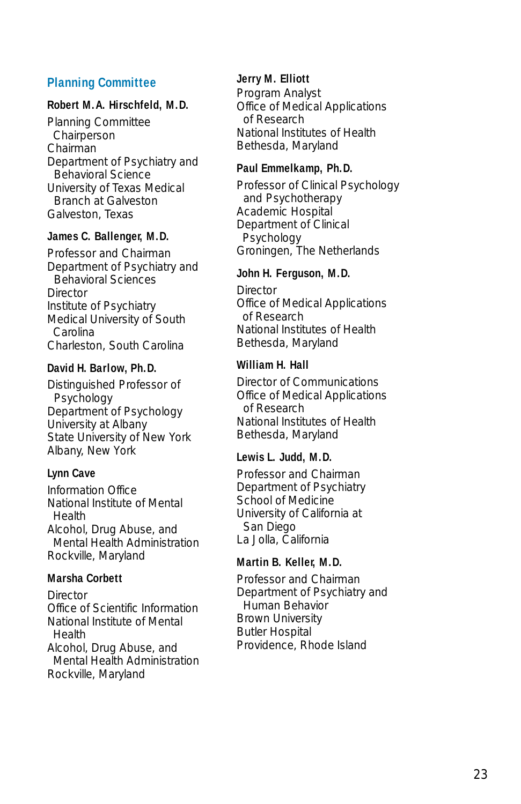## **Planning Committee**

## **Robert M.A. Hirschfeld, M.D.**

Planning Committee Chairperson Chairman Department of Psychiatry and Behavioral Science University of Texas Medical Branch at Galveston Galveston, Texas

### **James C. Ballenger, M.D.**

Professor and Chairman Department of Psychiatry and Behavioral Sciences **Director** Institute of Psychiatry Medical University of South **Carolina** Charleston, South Carolina

## **David H. Barlow, Ph.D.**

Distinguished Professor of Psychology Department of Psychology University at Albany State University of New York Albany, New York

## **Lynn Cave**

Information Office National Institute of Mental Health Alcohol, Drug Abuse, and Mental Health Administration Rockville, Maryland

## **Marsha Corbett**

**Director** Office of Scientific Information National Institute of Mental Health Alcohol, Drug Abuse, and Mental Health Administration Rockville, Maryland

## **Jerry M. Elliott**

Program Analyst Office of Medical Applications of Research National Institutes of Health Bethesda, Maryland

## **Paul Emmelkamp, Ph.D.**

Professor of Clinical Psychology and Psychotherapy Academic Hospital Department of Clinical Psychology Groningen, The Netherlands

## **John H. Ferguson, M.D.**

**Director** Office of Medical Applications of Research National Institutes of Health Bethesda, Maryland

## **William H. Hall**

Director of Communications Office of Medical Applications of Research National Institutes of Health Bethesda, Maryland

## **Lewis L. Judd, M.D.**

Professor and Chairman Department of Psychiatry School of Medicine University of California at San Diego La Jolla, California

## **Martin B. Keller, M.D.**

Professor and Chairman Department of Psychiatry and Human Behavior Brown University Butler Hospital Providence, Rhode Island